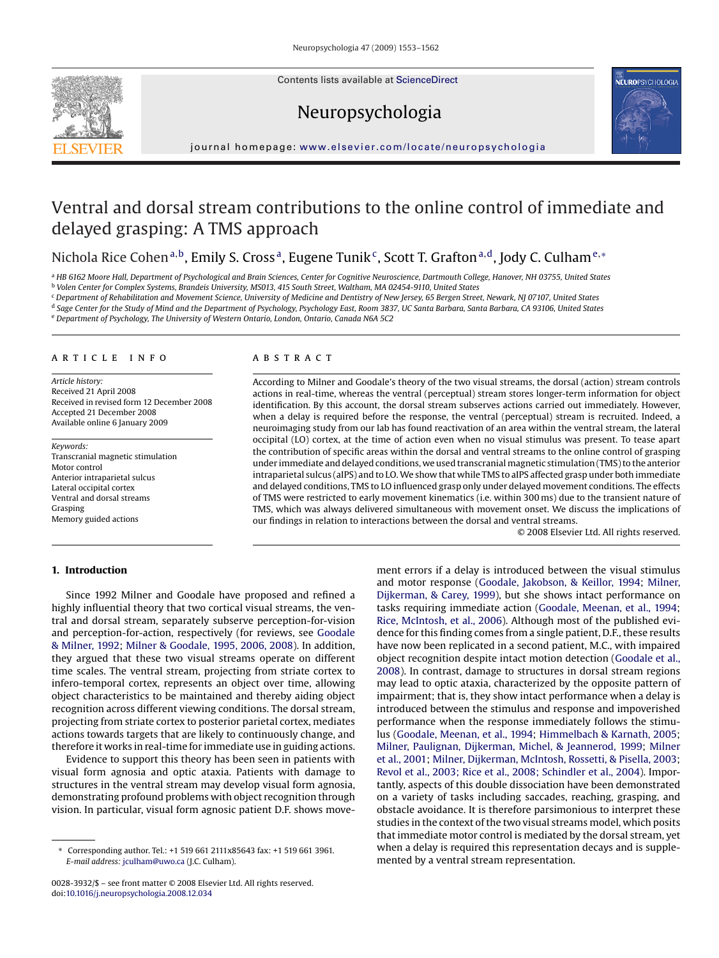Contents lists available at [ScienceDirect](http://www.sciencedirect.com/science/journal/00283932)







journal homepage: [www.elsevier.com/locate/neuropsychologia](http://www.elsevier.com/locate/neuropsychologia)

# Ventral and dorsal stream contributions to the online control of immediate and delayed grasping: A TMS approach

Nichola Rice Cohen<sup>a,b</sup>, Emily S. Cross<sup>a</sup>, Eugene Tunik<sup>c</sup>, Scott T. Grafton<sup>a,d</sup>, Jody C. Culham<sup>e,∗</sup>

<sup>a</sup> *HB 6162 Moore Hall, Department of Psychological and Brain Sciences, Center for Cognitive Neuroscience, Dartmouth College, Hanover, NH 03755, United States* <sup>b</sup> *Volen Center for Complex Systems, Brandeis University, MS013, 415 South Street, Waltham, MA 02454-9110, United States*

<sup>c</sup> *Department of Rehabilitation and Movement Science, University of Medicine and Dentistry of New Jersey, 65 Bergen Street, Newark, NJ 07107, United States*

<sup>d</sup> *Sage Center for the Study of Mind and the Department of Psychology, Psychology East, Room 3837, UC Santa Barbara, Santa Barbara, CA 93106, United States*

<sup>e</sup> *Department of Psychology, The University of Western Ontario, London, Ontario, Canada N6A 5C2*

## article info

*Article history:* Received 21 April 2008 Received in revised form 12 December 2008 Accepted 21 December 2008 Available online 6 January 2009

*Keywords:* Transcranial magnetic stimulation Motor control Anterior intraparietal sulcus Lateral occipital cortex Ventral and dorsal streams Grasping Memory guided actions

# **1. Introduction**

## ABSTRACT

According to Milner and Goodale's theory of the two visual streams, the dorsal (action) stream controls actions in real-time, whereas the ventral (perceptual) stream stores longer-term information for object identification. By this account, the dorsal stream subserves actions carried out immediately. However, when a delay is required before the response, the ventral (perceptual) stream is recruited. Indeed, a neuroimaging study from our lab has found reactivation of an area within the ventral stream, the lateral occipital (LO) cortex, at the time of action even when no visual stimulus was present. To tease apart the contribution of specific areas within the dorsal and ventral streams to the online control of grasping under immediate and delayed conditions, we used transcranialmagnetic stimulation (TMS) to the anterior intraparietal sulcus (aIPS) and to LO.We show that while TMS to aIPS affected grasp under both immediate and delayed conditions, TMS to LO influenced grasp only under delayed movement conditions. The effects of TMS were restricted to early movement kinematics (i.e. within 300 ms) due to the transient nature of TMS, which was always delivered simultaneous with movement onset. We discuss the implications of our findings in relation to interactions between the dorsal and ventral streams.

© 2008 Elsevier Ltd. All rights reserved.

Since 1992 Milner and Goodale have proposed and refined a highly influential theory that two cortical visual streams, the ventral and dorsal stream, separately subserve perception-for-vision and perception-for-action, respectively (for reviews, see [Goodale](#page-8-0) [& Milner, 1992;](#page-8-0) [Milner & Goodale, 1995, 2006, 2008\).](#page-8-0) In addition, they argued that these two visual streams operate on different time scales. The ventral stream, projecting from striate cortex to infero-temporal cortex, represents an object over time, allowing object characteristics to be maintained and thereby aiding object recognition across different viewing conditions. The dorsal stream, projecting from striate cortex to posterior parietal cortex, mediates actions towards targets that are likely to continuously change, and therefore it works in real-time for immediate use in guiding actions.

Evidence to support this theory has been seen in patients with visual form agnosia and optic ataxia. Patients with damage to structures in the ventral stream may develop visual form agnosia, demonstrating profound problems with object recognition through vision. In particular, visual form agnosic patient D.F. shows movement errors if a delay is introduced between the visual stimulus and motor response ([Goodale, Jakobson, & Keillor, 1994;](#page-8-0) [Milner,](#page-8-0) [Dijkerman, & Carey, 1999\),](#page-8-0) but she shows intact performance on tasks requiring immediate action ([Goodale, Meenan, et al., 1994;](#page-8-0) [Rice, McIntosh, et al., 2006\).](#page-9-0) Although most of the published evidence for this finding comes from a single patient, D.F., these results have now been replicated in a second patient, M.C., with impaired object recognition despite intact motion detection ([Goodale et al.,](#page-8-0) [2008\).](#page-8-0) In contrast, damage to structures in dorsal stream regions may lead to optic ataxia, characterized by the opposite pattern of impairment; that is, they show intact performance when a delay is introduced between the stimulus and response and impoverished performance when the response immediately follows the stimulus ([Goodale, Meenan, et al., 1994;](#page-8-0) [Himmelbach & Karnath, 2005;](#page-8-0) [Milner, Paulignan, Dijkerman, Michel, & Jeannerod, 1999;](#page-8-0) [Milner](#page-8-0) [et al., 2001;](#page-8-0) [Milner, Dijkerman, McIntosh, Rossetti, & Pisella, 2003;](#page-8-0) [Revol et al., 2003; Rice et al., 2008; Schindler et al., 2004\).](#page-9-0) Importantly, aspects of this double dissociation have been demonstrated on a variety of tasks including saccades, reaching, grasping, and obstacle avoidance. It is therefore parsimonious to interpret these studies in the context of the two visual streams model, which posits that immediate motor control is mediated by the dorsal stream, yet when a delay is required this representation decays and is supplemented by a ventral stream representation.

<sup>∗</sup> Corresponding author. Tel.: +1 519 661 2111x85643 fax: +1 519 661 3961. *E-mail address:* [jculham@uwo.ca](mailto:jculham@uwo.ca) (J.C. Culham).

<sup>0028-3932/\$ –</sup> see front matter © 2008 Elsevier Ltd. All rights reserved. doi:[10.1016/j.neuropsychologia.2008.12.034](dx.doi.org/10.1016/j.neuropsychologia.2008.12.034)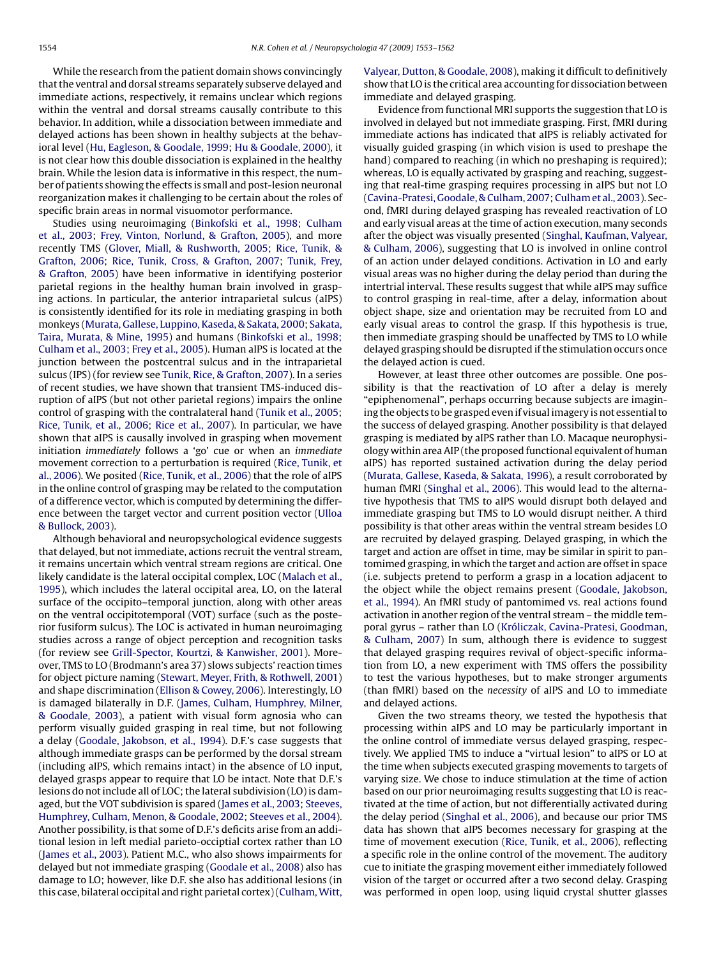While the research from the patient domain shows convincingly that the ventral and dorsal streams separately subserve delayed and immediate actions, respectively, it remains unclear which regions within the ventral and dorsal streams causally contribute to this behavior. In addition, while a dissociation between immediate and delayed actions has been shown in healthy subjects at the behavioral level [\(Hu, Eagleson, & Goodale, 1999;](#page-8-0) [Hu & Goodale, 2000\),](#page-8-0) it is not clear how this double dissociation is explained in the healthy brain. While the lesion data is informative in this respect, the number of patients showing the effects is small and post-lesion neuronal reorganization makes it challenging to be certain about the roles of specific brain areas in normal visuomotor performance.

Studies using neuroimaging ([Binkofski et al., 1998; Culham](#page-8-0) [et al., 2003;](#page-8-0) [Frey, Vinton, Norlund, & Grafton, 2005\),](#page-8-0) and more recently TMS [\(Glover, Miall, & Rushworth, 2005;](#page-8-0) [Rice, Tunik, &](#page-9-0) [Grafton, 2006;](#page-9-0) [Rice, Tunik, Cross, & Grafton, 2007;](#page-9-0) [Tunik, Frey,](#page-9-0) [& Grafton, 2005\)](#page-9-0) have been informative in identifying posterior parietal regions in the healthy human brain involved in grasping actions. In particular, the anterior intraparietal sulcus (aIPS) is consistently identified for its role in mediating grasping in both monkeys ([Murata, Gallese, Luppino, Kaseda, & Sakata, 2000;](#page-9-0) [Sakata,](#page-9-0) [Taira, Murata, & Mine, 1995\)](#page-9-0) and humans ([Binkofski et al., 1998;](#page-8-0) [Culham et al., 2003; Frey et al., 2005\).](#page-8-0) Human aIPS is located at the junction between the postcentral sulcus and in the intraparietal sulcus (IPS) (for review see [Tunik, Rice, & Grafton, 2007\).](#page-9-0) In a series of recent studies, we have shown that transient TMS-induced disruption of aIPS (but not other parietal regions) impairs the online control of grasping with the contralateral hand [\(Tunik et al., 2005;](#page-9-0) [Rice, Tunik, et al., 2006;](#page-9-0) [Rice et al., 2007\).](#page-9-0) In particular, we have shown that aIPS is causally involved in grasping when movement initiation *immediately* follows a 'go' cue or when an *immediate* movement correction to a perturbation is required [\(Rice, Tunik, et](#page-9-0) [al., 2006\).](#page-9-0) We posited [\(Rice, Tunik, et al., 2006\) t](#page-9-0)hat the role of aIPS in the online control of grasping may be related to the computation of a difference vector, which is computed by determining the difference between the target vector and current position vector ([Ulloa](#page-9-0) [& Bullock, 2003\).](#page-9-0)

Although behavioral and neuropsychological evidence suggests that delayed, but not immediate, actions recruit the ventral stream, it remains uncertain which ventral stream regions are critical. One likely candidate is the lateral occipital complex, LOC ([Malach et al.,](#page-8-0) [1995\),](#page-8-0) which includes the lateral occipital area, LO, on the lateral surface of the occipito–temporal junction, along with other areas on the ventral occipitotemporal (VOT) surface (such as the posterior fusiform sulcus). The LOC is activated in human neuroimaging studies across a range of object perception and recognition tasks (for review see [Grill-Spector, Kourtzi, & Kanwisher, 2001\).](#page-8-0) Moreover, TMS to LO (Brodmann's area 37) slows subjects' reaction times for object picture naming [\(Stewart, Meyer, Frith, & Rothwell, 2001\)](#page-9-0) and shape discrimination [\(Ellison & Cowey, 2006\).](#page-8-0) Interestingly, LO is damaged bilaterally in D.F. ([James, Culham, Humphrey, Milner,](#page-8-0) [& Goodale, 2003\),](#page-8-0) a patient with visual form agnosia who can perform visually guided grasping in real time, but not following a delay ([Goodale, Jakobson, et al., 1994\).](#page-8-0) D.F.'s case suggests that although immediate grasps can be performed by the dorsal stream (including aIPS, which remains intact) in the absence of LO input, delayed grasps appear to require that LO be intact. Note that D.F.'s lesions do not include all of LOC; the lateral subdivision (LO) is damaged, but the VOT subdivision is spared ([James et al., 2003;](#page-8-0) [Steeves,](#page-9-0) [Humphrey, Culham, Menon, & Goodale, 2002;](#page-9-0) [Steeves et al., 2004\).](#page-9-0) Another possibility, is that some of D.F.'s deficits arise from an additional lesion in left medial parieto-occiptial cortex rather than LO ([James et al., 2003\).](#page-8-0) Patient M.C., who also shows impairments for delayed but not immediate grasping ([Goodale et al., 2008\)](#page-8-0) also has damage to LO; however, like D.F. she also has additional lesions (in this case, bilateral occipital and right parietal cortex) [\(Culham,Witt,](#page-8-0)

[Valyear, Dutton, & Goodale, 2008\),](#page-8-0) making it difficult to definitively show that LO is the critical area accounting for dissociation between immediate and delayed grasping.

Evidence from functional MRI supports the suggestion that LO is involved in delayed but not immediate grasping. First, fMRI during immediate actions has indicated that aIPS is reliably activated for visually guided grasping (in which vision is used to preshape the hand) compared to reaching (in which no preshaping is required); whereas, LO is equally activated by grasping and reaching, suggesting that real-time grasping requires processing in aIPS but not LO [\(Cavina-Pratesi, Goodale, & Culham, 2007;](#page-8-0) [Culham et al., 2003\).](#page-8-0) Second, fMRI during delayed grasping has revealed reactivation of LO and early visual areas at the time of action execution, many seconds after the object was visually presented ([Singhal, Kaufman, Valyear,](#page-9-0) [& Culham, 2006\),](#page-9-0) suggesting that LO is involved in online control of an action under delayed conditions. Activation in LO and early visual areas was no higher during the delay period than during the intertrial interval. These results suggest that while aIPS may suffice to control grasping in real-time, after a delay, information about object shape, size and orientation may be recruited from LO and early visual areas to control the grasp. If this hypothesis is true, then immediate grasping should be unaffected by TMS to LO while delayed grasping should be disrupted if the stimulation occurs once the delayed action is cued.

However, at least three other outcomes are possible. One possibility is that the reactivation of LO after a delay is merely "epiphenomenal", perhaps occurring because subjects are imagining the objects to be grasped even if visual imagery is not essential to the success of delayed grasping. Another possibility is that delayed grasping is mediated by aIPS rather than LO. Macaque neurophysiology within area AIP (the proposed functional equivalent of human aIPS) has reported sustained activation during the delay period [\(Murata, Gallese, Kaseda, & Sakata, 1996\),](#page-9-0) a result corroborated by human fMRI [\(Singhal et al., 2006\).](#page-9-0) This would lead to the alternative hypothesis that TMS to aIPS would disrupt both delayed and immediate grasping but TMS to LO would disrupt neither. A third possibility is that other areas within the ventral stream besides LO are recruited by delayed grasping. Delayed grasping, in which the target and action are offset in time, may be similar in spirit to pantomimed grasping, in which the target and action are offset in space (i.e. subjects pretend to perform a grasp in a location adjacent to the object while the object remains present [\(Goodale, Jakobson,](#page-8-0) [et al., 1994\).](#page-8-0) An fMRI study of pantomimed vs. real actions found activation in another region of the ventral stream – the middle temporal gyrus – rather than LO [\(Króliczak, Cavina-Pratesi, Goodman,](#page-8-0) [& Culham, 2007\)](#page-8-0) In sum, although there is evidence to suggest that delayed grasping requires revival of object-specific information from LO, a new experiment with TMS offers the possibility to test the various hypotheses, but to make stronger arguments (than fMRI) based on the *necessity* of aIPS and LO to immediate and delayed actions.

Given the two streams theory, we tested the hypothesis that processing within aIPS and LO may be particularly important in the online control of immediate versus delayed grasping, respectively. We applied TMS to induce a "virtual lesion" to aIPS or LO at the time when subjects executed grasping movements to targets of varying size. We chose to induce stimulation at the time of action based on our prior neuroimaging results suggesting that LO is reactivated at the time of action, but not differentially activated during the delay period [\(Singhal et al., 2006\),](#page-9-0) and because our prior TMS data has shown that aIPS becomes necessary for grasping at the time of movement execution ([Rice, Tunik, et al., 2006\),](#page-9-0) reflecting a specific role in the online control of the movement. The auditory cue to initiate the grasping movement either immediately followed vision of the target or occurred after a two second delay. Grasping was performed in open loop, using liquid crystal shutter glasses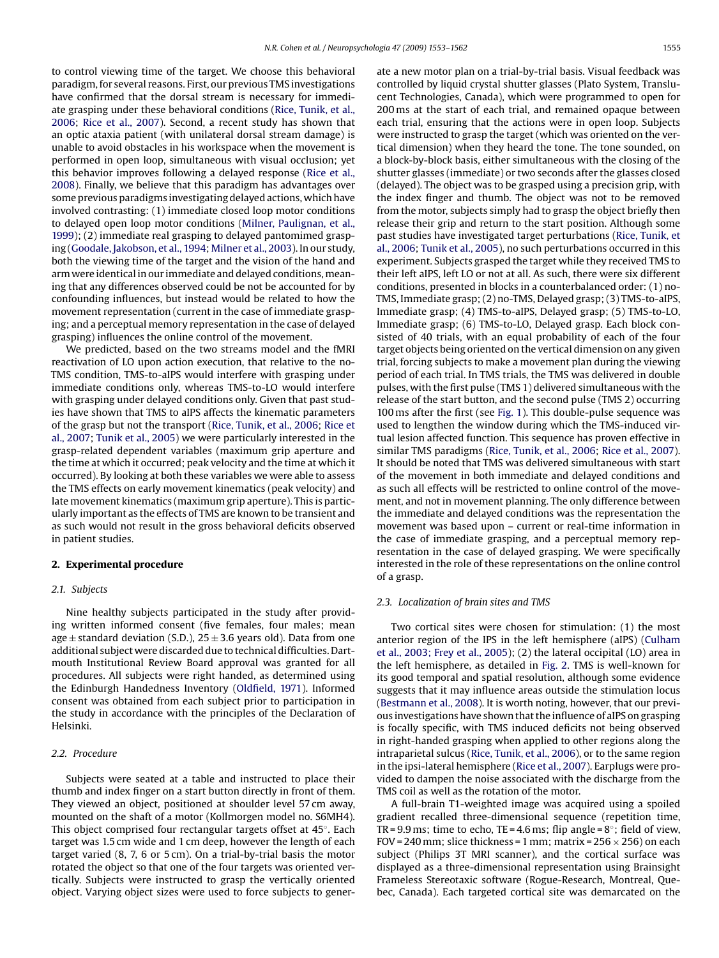to control viewing time of the target. We choose this behavioral paradigm, for several reasons. First, our previous TMS investigations have confirmed that the dorsal stream is necessary for immediate grasping under these behavioral conditions ([Rice, Tunik, et al.,](#page-9-0) [2006;](#page-9-0) [Rice et al., 2007\).](#page-9-0) Second, a recent study has shown that an optic ataxia patient (with unilateral dorsal stream damage) is unable to avoid obstacles in his workspace when the movement is performed in open loop, simultaneous with visual occlusion; yet this behavior improves following a delayed response [\(Rice et al.,](#page-9-0) [2008\).](#page-9-0) Finally, we believe that this paradigm has advantages over some previous paradigms investigating delayed actions, which have involved contrasting: (1) immediate closed loop motor conditions to delayed open loop motor conditions ([Milner, Paulignan, et al.,](#page-8-0) [1999\);](#page-8-0) (2) immediate real grasping to delayed pantomimed grasping [\(Goodale, Jakobson, et al., 1994;](#page-8-0) [Milner et al., 2003\).](#page-8-0) In our study, both the viewing time of the target and the vision of the hand and arm were identical in our immediate and delayed conditions,meaning that any differences observed could be not be accounted for by confounding influences, but instead would be related to how the movement representation (current in the case of immediate grasping; and a perceptual memory representation in the case of delayed grasping) influences the online control of the movement.

We predicted, based on the two streams model and the fMRI reactivation of LO upon action execution, that relative to the no-TMS condition, TMS-to-aIPS would interfere with grasping under immediate conditions only, whereas TMS-to-LO would interfere with grasping under delayed conditions only. Given that past studies have shown that TMS to aIPS affects the kinematic parameters of the grasp but not the transport ([Rice, Tunik, et al., 2006;](#page-9-0) [Rice et](#page-9-0) [al., 2007;](#page-9-0) [Tunik et al., 2005\)](#page-9-0) we were particularly interested in the grasp-related dependent variables (maximum grip aperture and the time at which it occurred; peak velocity and the time at which it occurred). By looking at both these variables we were able to assess the TMS effects on early movement kinematics (peak velocity) and late movement kinematics (maximum grip aperture). This is particularly important as the effects of TMS are known to be transient and as such would not result in the gross behavioral deficits observed in patient studies.

#### **2. Experimental procedure**

## *2.1. Subjects*

Nine healthy subjects participated in the study after providing written informed consent (five females, four males; mean age  $\pm$  standard deviation (S.D.), 25  $\pm$  3.6 years old). Data from one additional subject were discarded due to technical difficulties. Dartmouth Institutional Review Board approval was granted for all procedures. All subjects were right handed, as determined using the Edinburgh Handedness Inventory [\(Oldfield, 1971\).](#page-9-0) Informed consent was obtained from each subject prior to participation in the study in accordance with the principles of the Declaration of Helsinki.

# *2.2. Procedure*

Subjects were seated at a table and instructed to place their thumb and index finger on a start button directly in front of them. They viewed an object, positioned at shoulder level 57 cm away, mounted on the shaft of a motor (Kollmorgen model no. S6MH4). This object comprised four rectangular targets offset at 45◦. Each target was 1.5 cm wide and 1 cm deep, however the length of each target varied (8, 7, 6 or 5 cm). On a trial-by-trial basis the motor rotated the object so that one of the four targets was oriented vertically. Subjects were instructed to grasp the vertically oriented object. Varying object sizes were used to force subjects to generate a new motor plan on a trial-by-trial basis. Visual feedback was controlled by liquid crystal shutter glasses (Plato System, Translucent Technologies, Canada), which were programmed to open for 200 ms at the start of each trial, and remained opaque between each trial, ensuring that the actions were in open loop. Subjects were instructed to grasp the target (which was oriented on the vertical dimension) when they heard the tone. The tone sounded, on a block-by-block basis, either simultaneous with the closing of the shutter glasses (immediate) or two seconds after the glasses closed (delayed). The object was to be grasped using a precision grip, with the index finger and thumb. The object was not to be removed from the motor, subjects simply had to grasp the object briefly then release their grip and return to the start position. Although some past studies have investigated target perturbations ([Rice, Tunik, et](#page-9-0) [al., 2006;](#page-9-0) [Tunik et al., 2005\),](#page-9-0) no such perturbations occurred in this experiment. Subjects grasped the target while they received TMS to their left aIPS, left LO or not at all. As such, there were six different conditions, presented in blocks in a counterbalanced order: (1) no-TMS, Immediate grasp; (2) no-TMS, Delayed grasp; (3) TMS-to-aIPS, Immediate grasp; (4) TMS-to-aIPS, Delayed grasp; (5) TMS-to-LO, Immediate grasp; (6) TMS-to-LO, Delayed grasp. Each block consisted of 40 trials, with an equal probability of each of the four target objects being oriented on the vertical dimension on any given trial, forcing subjects to make a movement plan during the viewing period of each trial. In TMS trials, the TMS was delivered in double pulses, with the first pulse (TMS 1) delivered simultaneous with the release of the start button, and the second pulse (TMS 2) occurring 100 ms after the first (see [Fig. 1\).](#page-3-0) This double-pulse sequence was used to lengthen the window during which the TMS-induced virtual lesion affected function. This sequence has proven effective in similar TMS paradigms [\(Rice, Tunik, et al., 2006;](#page-9-0) [Rice et al., 2007\).](#page-9-0) It should be noted that TMS was delivered simultaneous with start of the movement in both immediate and delayed conditions and as such all effects will be restricted to online control of the movement, and not in movement planning. The only difference between the immediate and delayed conditions was the representation the movement was based upon – current or real-time information in the case of immediate grasping, and a perceptual memory representation in the case of delayed grasping. We were specifically interested in the role of these representations on the online control of a grasp.

## *2.3. Localization of brain sites and TMS*

Two cortical sites were chosen for stimulation: (1) the most anterior region of the IPS in the left hemisphere (aIPS) [\(Culham](#page-8-0) [et al., 2003; Frey et al., 2005\);](#page-8-0) (2) the lateral occipital (LO) area in the left hemisphere, as detailed in [Fig. 2.](#page-3-0) TMS is well-known for its good temporal and spatial resolution, although some evidence suggests that it may influence areas outside the stimulation locus [\(Bestmann et al., 2008\).](#page-8-0) It is worth noting, however, that our previous investigations have shown that the influence of aIPS on grasping is focally specific, with TMS induced deficits not being observed in right-handed grasping when applied to other regions along the intraparietal sulcus [\(Rice, Tunik, et al., 2006\),](#page-9-0) or to the same region in the ipsi-lateral hemisphere ([Rice et al., 2007\).](#page-9-0) Earplugs were provided to dampen the noise associated with the discharge from the TMS coil as well as the rotation of the motor.

A full-brain T1-weighted image was acquired using a spoiled gradient recalled three-dimensional sequence (repetition time, TR = 9.9 ms; time to echo, TE = 4.6 ms; flip angle =  $8^\circ$ ; field of view, FOV = 240 mm; slice thickness = 1 mm; matrix =  $256 \times 256$ ) on each subject (Philips 3T MRI scanner), and the cortical surface was displayed as a three-dimensional representation using Brainsight Frameless Stereotaxic software (Rogue-Research, Montreal, Quebec, Canada). Each targeted cortical site was demarcated on the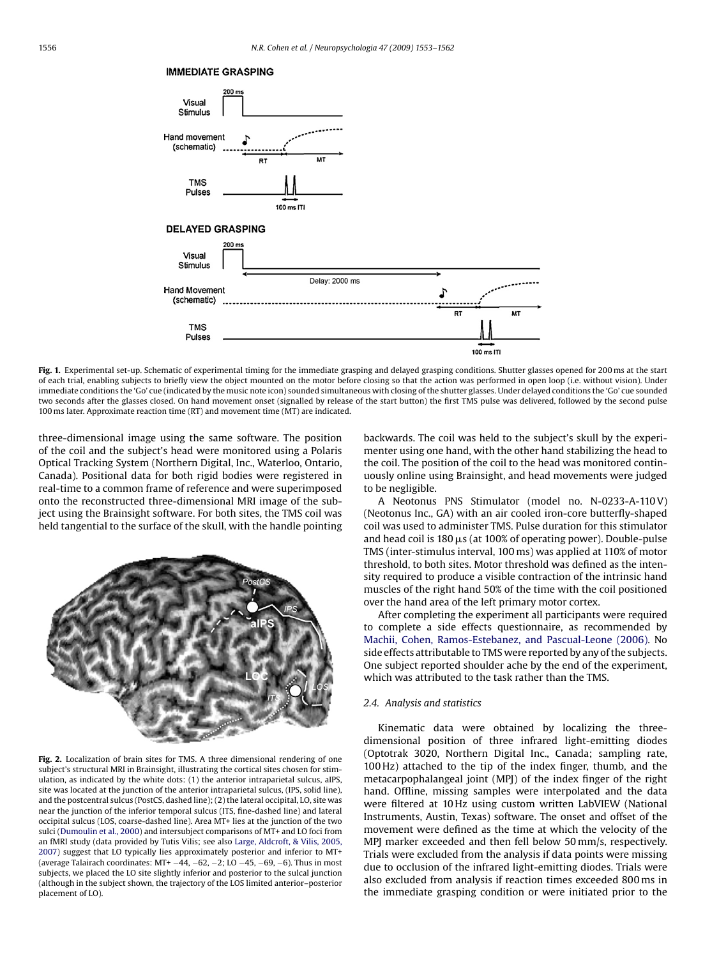

#### <span id="page-3-0"></span>**IMMEDIATE GRASPING**

Fig. 1. Experimental set-up. Schematic of experimental timing for the immediate grasping and delayed grasping conditions. Shutter glasses opened for 200 ms at the start of each trial, enabling subjects to briefly view the object mounted on the motor before closing so that the action was performed in open loop (i.e. without vision). Under immediate conditions the 'Go' cue (indicated by the music note icon) sounded simultaneous with closing of the shutter glasses. Under delayed conditions the 'Go' cue sounded two seconds after the glasses closed. On hand movement onset (signalled by release of the start button) the first TMS pulse was delivered, followed by the second pulse 100 ms later. Approximate reaction time (RT) and movement time (MT) are indicated.

three-dimensional image using the same software. The position of the coil and the subject's head were monitored using a Polaris Optical Tracking System (Northern Digital, Inc., Waterloo, Ontario, Canada). Positional data for both rigid bodies were registered in real-time to a common frame of reference and were superimposed onto the reconstructed three-dimensional MRI image of the subject using the Brainsight software. For both sites, the TMS coil was held tangential to the surface of the skull, with the handle pointing



**Fig. 2.** Localization of brain sites for TMS. A three dimensional rendering of one subject's structural MRI in Brainsight, illustrating the cortical sites chosen for stimulation, as indicated by the white dots: (1) the anterior intraparietal sulcus, aIPS, site was located at the junction of the anterior intraparietal sulcus, (IPS, solid line), and the postcentral sulcus (PostCS, dashed line); (2) the lateral occipital, LO, site was near the junction of the inferior temporal sulcus (ITS, fine-dashed line) and lateral occipital sulcus (LOS, coarse-dashed line). Area MT+ lies at the junction of the two sulci [\(Dumoulin et al., 2000\) a](#page-8-0)nd intersubject comparisons of MT+ and LO foci from an fMRI study (data provided by Tutis Vilis; see also [Large, Aldcroft, & Vilis, 2005,](#page-8-0) [2007\)](#page-8-0) suggest that LO typically lies approximately posterior and inferior to MT+ (average Talairach coordinates: MT+ −44, −62, −2; LO −45, −69, −6). Thus in most subjects, we placed the LO site slightly inferior and posterior to the sulcal junction (although in the subject shown, the trajectory of the LOS limited anterior–posterior placement of LO).

backwards. The coil was held to the subject's skull by the experimenter using one hand, with the other hand stabilizing the head to the coil. The position of the coil to the head was monitored continuously online using Brainsight, and head movements were judged to be negligible.

A Neotonus PNS Stimulator (model no. N-0233-A-110 V) (Neotonus Inc., GA) with an air cooled iron-core butterfly-shaped coil was used to administer TMS. Pulse duration for this stimulator and head coil is 180 µs (at 100% of operating power). Double-pulse TMS (inter-stimulus interval, 100 ms) was applied at 110% of motor threshold, to both sites. Motor threshold was defined as the intensity required to produce a visible contraction of the intrinsic hand muscles of the right hand 50% of the time with the coil positioned over the hand area of the left primary motor cortex.

After completing the experiment all participants were required to complete a side effects questionnaire, as recommended by [Machii, Cohen, Ramos-Estebanez, and Pascual-Leone \(2006\).](#page-8-0) No side effects attributable to TMS were reported by any of the subjects. One subject reported shoulder ache by the end of the experiment, which was attributed to the task rather than the TMS.

## *2.4. Analysis and statistics*

Kinematic data were obtained by localizing the threedimensional position of three infrared light-emitting diodes (Optotrak 3020, Northern Digital Inc., Canada; sampling rate, 100 Hz) attached to the tip of the index finger, thumb, and the metacarpophalangeal joint (MPJ) of the index finger of the right hand. Offline, missing samples were interpolated and the data were filtered at 10 Hz using custom written LabVIEW (National Instruments, Austin, Texas) software. The onset and offset of the movement were defined as the time at which the velocity of the MPJ marker exceeded and then fell below 50 mm/s, respectively. Trials were excluded from the analysis if data points were missing due to occlusion of the infrared light-emitting diodes. Trials were also excluded from analysis if reaction times exceeded 800 ms in the immediate grasping condition or were initiated prior to the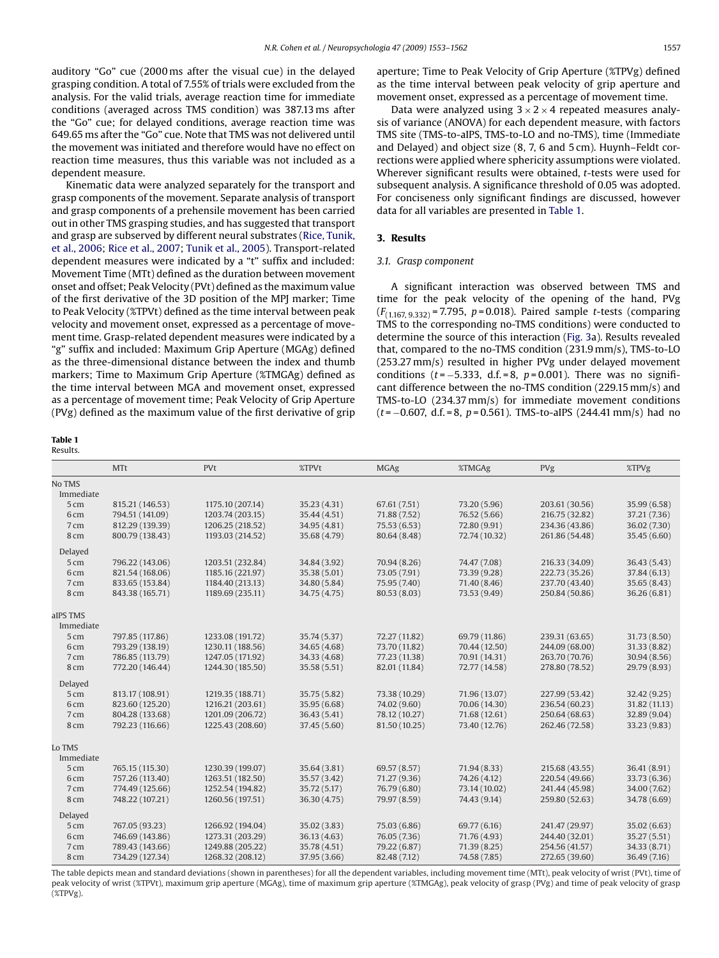<span id="page-4-0"></span>auditory "Go" cue (2000 ms after the visual cue) in the delayed grasping condition. A total of 7.55% of trials were excluded from the analysis. For the valid trials, average reaction time for immediate conditions (averaged across TMS condition) was 387.13 ms after the "Go" cue; for delayed conditions, average reaction time was 649.65 ms after the "Go" cue. Note that TMS was not delivered until the movement was initiated and therefore would have no effect on reaction time measures, thus this variable was not included as a dependent measure.

Kinematic data were analyzed separately for the transport and grasp components of the movement. Separate analysis of transport and grasp components of a prehensile movement has been carried out in other TMS grasping studies, and has suggested that transport and grasp are subserved by different neural substrates [\(Rice, Tunik,](#page-9-0) [et al., 2006;](#page-9-0) [Rice et al., 2007;](#page-9-0) [Tunik et al., 2005\).](#page-9-0) Transport-related dependent measures were indicated by a "t" suffix and included: Movement Time (MTt) defined as the duration between movement onset and offset; Peak Velocity (PVt) defined as the maximum value of the first derivative of the 3D position of the MPJ marker; Time to Peak Velocity (%TPVt) defined as the time interval between peak velocity and movement onset, expressed as a percentage of movement time. Grasp-related dependent measures were indicated by a "g" suffix and included: Maximum Grip Aperture (MGAg) defined as the three-dimensional distance between the index and thumb markers; Time to Maximum Grip Aperture (%TMGAg) defined as the time interval between MGA and movement onset, expressed as a percentage of movement time; Peak Velocity of Grip Aperture (PVg) defined as the maximum value of the first derivative of grip

# **Table 1**

Results.

| aperture; Time to Peak Velocity of Grip Aperture (%TPVg) defined |
|------------------------------------------------------------------|
| as the time interval between peak velocity of grip aperture and  |
| movement onset, expressed as a percentage of movement time.      |

Data were analyzed using  $3 \times 2 \times 4$  repeated measures analysis of variance (ANOVA) for each dependent measure, with factors TMS site (TMS-to-aIPS, TMS-to-LO and no-TMS), time (Immediate and Delayed) and object size (8, 7, 6 and 5 cm). Huynh–Feldt corrections were applied where sphericity assumptions were violated. Wherever significant results were obtained, *t*-tests were used for subsequent analysis. A significance threshold of 0.05 was adopted. For conciseness only significant findings are discussed, however data for all variables are presented in Table 1.

# **3. Results**

#### *3.1. Grasp component*

A significant interaction was observed between TMS and time for the peak velocity of the opening of the hand, PVg (*F*(1.167, 9.332) = 7.795, *p* = 0.018). Paired sample *t*-tests (comparing TMS to the corresponding no-TMS conditions) were conducted to determine the source of this interaction ([Fig. 3a\)](#page-5-0). Results revealed that, compared to the no-TMS condition (231.9 mm/s), TMS-to-LO (253.27 mm/s) resulted in higher PVg under delayed movement conditions (*t* = −5.333, d.f. = 8, *p* = 0.001). There was no significant difference between the no-TMS condition (229.15 mm/s) and TMS-to-LO (234.37 mm/s) for immediate movement conditions (*t* = −0.607, d.f. = 8, *p* = 0.561). TMS-to-aIPS (244.41 mm/s) had no

|                 | <b>MTt</b>                         | <b>PVt</b>                                                                                                                                                              | %TPVt                        | MGAg                           | %TMGAg                         | PVg                              | %TPVg                       |
|-----------------|------------------------------------|-------------------------------------------------------------------------------------------------------------------------------------------------------------------------|------------------------------|--------------------------------|--------------------------------|----------------------------------|-----------------------------|
| No TMS          |                                    |                                                                                                                                                                         |                              |                                |                                |                                  |                             |
| Immediate       |                                    |                                                                                                                                                                         |                              |                                |                                |                                  |                             |
| 5 cm            | 815.21 (146.53)                    | 1175.10 (207.14)                                                                                                                                                        | 35.23 (4.31)                 | 67.61 (7.51)                   | 73.20 (5.96)                   | 203.61 (30.56)                   | 35.99 (6.58)                |
| 6 <sub>cm</sub> | 794.51 (141.09)                    | 1203.74 (203.15)                                                                                                                                                        | 35.44 (4.51)                 | 71.88 (7.52)                   | 76.52 (5.66)                   | 216.75 (32.82)                   | 37.21 (7.36)                |
| 7 cm            | 812.29 (139.39)                    | 1206.25 (218.52)                                                                                                                                                        | 34.95 (4.81)                 | 75.53 (6.53)                   | 72.80 (9.91)                   | 234.36 (43.86)                   | 36.02 (7.30)                |
| 8 cm            | 800.79 (138.43)                    | 1193.03 (214.52)                                                                                                                                                        | 35.68 (4.79)                 | 80.64 (8.48)                   | 72.74 (10.32)                  | 261.86 (54.48)                   | 35.45 (6.60)                |
| Delayed         |                                    |                                                                                                                                                                         |                              |                                |                                |                                  |                             |
| 5 cm            | 796.22 (143.06)                    | 1203.51 (232.84)                                                                                                                                                        | 34.84 (3.92)                 | 70.94 (8.26)                   | 74.47 (7.08)                   | 216.33 (34.09)                   | 36.43 (5.43)                |
| 6 <sub>cm</sub> | 821.54 (168.06)                    | 1185.16 (221.97)                                                                                                                                                        | 35.38 (5.01)                 | 73.05 (7.91)                   | 73.39 (9.28)                   | 222.73 (35.26)                   | 37.84 (6.13)                |
| 7 cm            | 833.65 (153.84)                    | 1184.40 (213.13)                                                                                                                                                        | 34.80 (5.84)                 | 75.95 (7.40)                   | 71.40 (8.46)                   | 237.70 (43.40)                   | 35.65 (8.43)                |
| 8 cm            | 843.38 (165.71)                    | 1189.69 (235.11)                                                                                                                                                        | 34.75 (4.75)                 | 80.53 (8.03)                   | 73.53 (9.49)                   | 250.84 (50.86)                   | 36.26 (6.81)                |
|                 |                                    |                                                                                                                                                                         |                              |                                |                                |                                  |                             |
| aIPS TMS        |                                    |                                                                                                                                                                         |                              |                                |                                |                                  |                             |
| Immediate       |                                    |                                                                                                                                                                         |                              |                                |                                |                                  |                             |
| 5 cm            | 797.85 (117.86)                    | 1233.08 (191.72)                                                                                                                                                        | 35.74 (5.37)                 | 72.27 (11.82)                  | 69.79 (11.86)                  | 239.31 (63.65)                   | 31.73 (8.50)                |
| 6 <sub>cm</sub> | 793.29 (138.19)                    | 1230.11 (188.56)                                                                                                                                                        | 34.65 (4.68)                 | 73.70 (11.82)                  | 70.44 (12.50)                  | 244.09 (68.00)                   | 31.33 (8.82)                |
| 7 cm<br>8 cm    | 786.85 (113.79)<br>772.20 (146.44) | 1247.05 (171.92)<br>1244.30 (185.50)                                                                                                                                    | 34.33 (4.68)<br>35.58 (5.51) | 77.23 (11.38)<br>82.01 (11.84) | 70.91 (14.31)<br>72.77 (14.58) | 263.70 (70.76)<br>278.80 (78.52) | 30.94(8.56)<br>29.79 (8.93) |
|                 |                                    |                                                                                                                                                                         |                              |                                |                                |                                  |                             |
| Delayed         |                                    |                                                                                                                                                                         |                              |                                |                                |                                  |                             |
| 5 cm            | 813.17 (108.91)                    | 1219.35 (188.71)                                                                                                                                                        | 35.75 (5.82)                 | 73.38 (10.29)                  | 71.96 (13.07)                  | 227.99 (53.42)                   | 32.42 (9.25)                |
| 6 <sub>cm</sub> | 823.60 (125.20)                    | 1216.21 (203.61)                                                                                                                                                        | 35.95 (6.68)                 | 74.02 (9.60)                   | 70.06 (14.30)                  | 236.54 (60.23)                   | 31.82 (11.13)               |
| 7 cm            | 804.28 (133.68)                    | 1201.09 (206.72)                                                                                                                                                        | 36.43 (5.41)                 | 78.12 (10.27)                  | 71.68 (12.61)                  | 250.64 (68.63)                   | 32.89 (9.04)                |
| 8 cm            | 792.23 (116.66)                    | 1225.43 (208.60)                                                                                                                                                        | 37.45 (5.60)                 | 81.50 (10.25)                  | 73.40 (12.76)                  | 262.46 (72.58)                   | 33.23 (9.83)                |
| Lo TMS          |                                    |                                                                                                                                                                         |                              |                                |                                |                                  |                             |
| Immediate       |                                    |                                                                                                                                                                         |                              |                                |                                |                                  |                             |
| 5 cm            | 765.15 (115.30)                    | 1230.39 (199.07)                                                                                                                                                        | 35.64 (3.81)                 | 69.57 (8.57)                   | 71.94 (8.33)                   | 215.68 (43.55)                   | 36.41 (8.91)                |
| 6 <sub>cm</sub> | 757.26 (113.40)                    | 1263.51 (182.50)                                                                                                                                                        | 35.57 (3.42)                 | 71.27 (9.36)                   | 74.26 (4.12)                   | 220.54 (49.66)                   | 33.73 (6.36)                |
| 7 cm            | 774.49 (125.66)                    | 1252.54 (194.82)                                                                                                                                                        | 35.72 (5.17)                 | 76.79 (6.80)                   | 73.14 (10.02)                  | 241.44 (45.98)                   | 34.00 (7.62)                |
| 8 cm            | 748.22 (107.21)                    | 1260.56 (197.51)                                                                                                                                                        | 36.30 (4.75)                 | 79.97 (8.59)                   | 74.43 (9.14)                   | 259.80 (52.63)                   | 34.78 (6.69)                |
| Delayed         |                                    |                                                                                                                                                                         |                              |                                |                                |                                  |                             |
| 5 cm            | 767.05 (93.23)                     | 1266.92 (194.04)                                                                                                                                                        | 35.02 (3.83)                 | 75.03 (6.86)                   | 69.77 (6.16)                   | 241.47 (29.97)                   | 35.02(6.63)                 |
| 6 <sub>cm</sub> | 746.69 (143.86)                    | 1273.31 (203.29)                                                                                                                                                        | 36.13 (4.63)                 | 76.05 (7.36)                   | 71.76 (4.93)                   | 244.40 (32.01)                   | 35.27(5.51)                 |
| 7 cm            | 789.43 (143.66)                    | 1249.88 (205.22)                                                                                                                                                        | 35.78 (4.51)                 | 79.22 (6.87)                   | 71.39 (8.25)                   | 254.56 (41.57)                   | 34.33 (8.71)                |
| 8 cm            | 734.29 (127.34)                    | 1268.32 (208.12)                                                                                                                                                        | 37.95 (3.66)                 | 82.48 (7.12)                   | 74.58 (7.85)                   | 272.65 (39.60)                   | 36.49 (7.16)                |
|                 |                                    | The table depicts mean and standard deviations (shown in parentheses) for all the dependent wrighles, including movement time (MTt), postcyclosity of wrigt (DVt), time |                              |                                |                                |                                  |                             |

The table depicts mean and standard deviations (shown in parentheses) for all the dependent variables, including movement time (MTt), peak velocity of wrist (PVt), time of peak velocity of wrist (%TPVt), maximum grip aperture (MGAg), time of maximum grip aperture (%TMGAg), peak velocity of grasp (PVg) and time of peak velocity of grasp (%TPVg).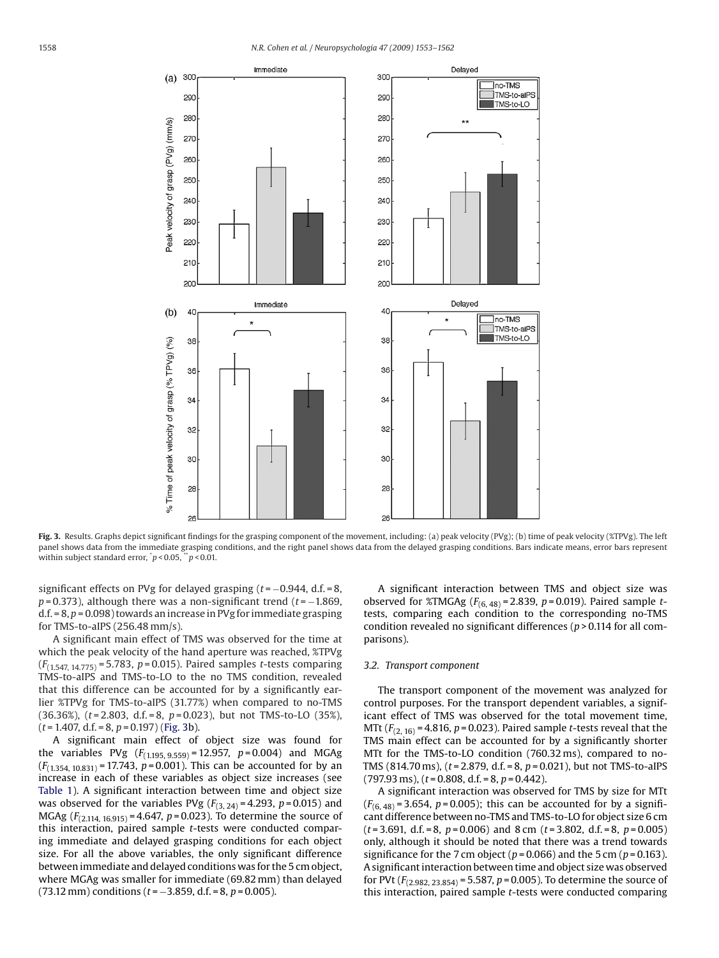<span id="page-5-0"></span>

**Fig. 3.** Results. Graphs depict significant findings for the grasping component of the movement, including: (a) peak velocity (PVg); (b) time of peak velocity (%TPVg). The left panel shows data from the immediate grasping conditions, and the right panel shows data from the delayed grasping conditions. Bars indicate means, error bars represent within subject standard error, \**p* < 0.05, \*\**p* < 0.01.

significant effects on PVg for delayed grasping (*t* = −0.944, d.f. = 8, *p* = 0.373), although there was a non-significant trend (*t* = −1.869, d.f. = 8, *p* = 0.098) towards an increase in PVg for immediate grasping for TMS-to-aIPS (256.48 mm/s).

A significant main effect of TMS was observed for the time at which the peak velocity of the hand aperture was reached, %TPVg (*F*(1.547, 14.775) = 5.783, *p* = 0.015). Paired samples *t*-tests comparing TMS-to-aIPS and TMS-to-LO to the no TMS condition, revealed that this difference can be accounted for by a significantly earlier %TPVg for TMS-to-aIPS (31.77%) when compared to no-TMS (36.36%), (*t* = 2.803, d.f. = 8, *p* = 0.023), but not TMS-to-LO (35%), (*t* = 1.407, d.f. = 8, *p* = 0.197) (Fig. 3b).

A significant main effect of object size was found for the variables PVg  $(F_{(1.195, 9.559)} = 12.957, p = 0.004)$  and MGAg (*F*(1.354, 10.831) = 17.743, *p* = 0.001). This can be accounted for by an increase in each of these variables as object size increases (see [Table 1\).](#page-4-0) A significant interaction between time and object size was observed for the variables PVg  $(F_{(3, 24)} = 4.293, p = 0.015)$  and MGAg (*F*(2.114, 16.915) = 4.647, *p* = 0.023). To determine the source of this interaction, paired sample *t*-tests were conducted comparing immediate and delayed grasping conditions for each object size. For all the above variables, the only significant difference between immediate and delayed conditions was for the 5 cm object, where MGAg was smaller for immediate (69.82 mm) than delayed (73.12 mm) conditions (*t* = −3.859, d.f. = 8, *p* = 0.005).

A significant interaction between TMS and object size was observed for %TMGAg (*F*(6, 48) = 2.839, *p* = 0.019). Paired sample *t*tests, comparing each condition to the corresponding no-TMS condition revealed no significant differences (*p* > 0.114 for all comparisons).

#### *3.2. Transport component*

The transport component of the movement was analyzed for control purposes. For the transport dependent variables, a significant effect of TMS was observed for the total movement time, MTt  $(F_{(2, 16)} = 4.816, p = 0.023)$ . Paired sample *t*-tests reveal that the TMS main effect can be accounted for by a significantly shorter MTt for the TMS-to-LO condition (760.32 ms), compared to no-TMS (814.70 ms), (*t* = 2.879, d.f. = 8, *p* = 0.021), but not TMS-to-aIPS (797.93 ms), (*t* = 0.808, d.f. = 8, *p* = 0.442).

A significant interaction was observed for TMS by size for MTt  $(F_{(6, 48)} = 3.654, p = 0.005)$ ; this can be accounted for by a significant difference between no-TMS and TMS-to-LO for object size 6 cm (*t* = 3.691, d.f. = 8, *p* = 0.006) and 8 cm (*t* = 3.802, d.f. = 8, *p* = 0.005) only, although it should be noted that there was a trend towards significance for the 7 cm object ( $p = 0.066$ ) and the 5 cm ( $p = 0.163$ ). A significant interaction between time and object size was observed for PVt  $(F_{(2.982, 23.854)} = 5.587, p = 0.005)$ . To determine the source of this interaction, paired sample *t*-tests were conducted comparing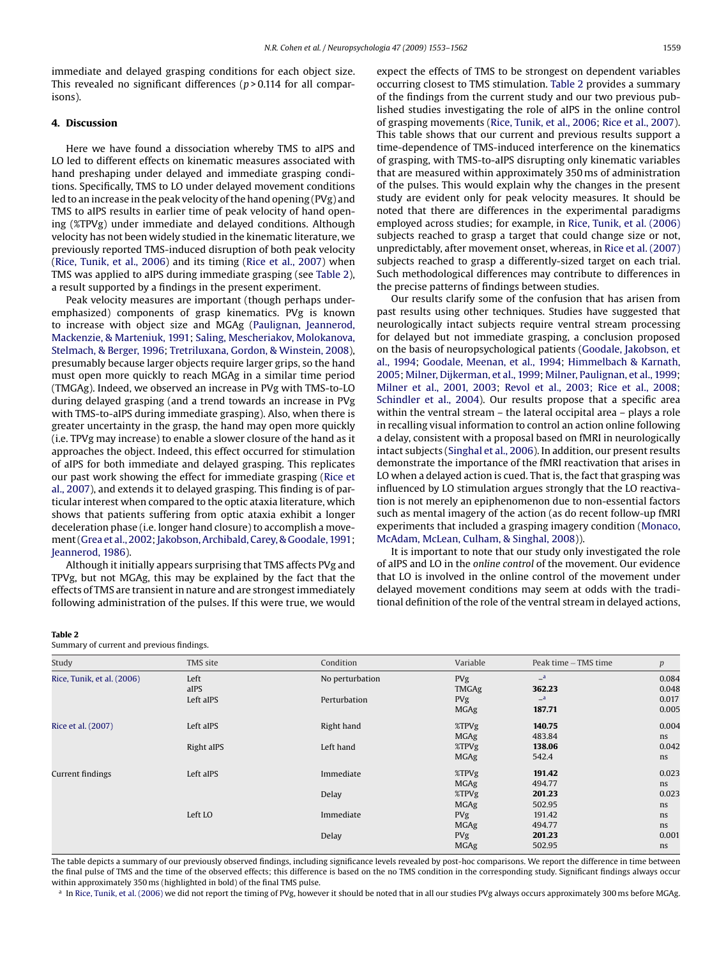immediate and delayed grasping conditions for each object size. This revealed no significant differences (*p* > 0.114 for all comparisons).

# **4. Discussion**

Here we have found a dissociation whereby TMS to aIPS and LO led to different effects on kinematic measures associated with hand preshaping under delayed and immediate grasping conditions. Specifically, TMS to LO under delayed movement conditions led to an increase in the peak velocity of the hand opening (PVg) and TMS to aIPS results in earlier time of peak velocity of hand opening (%TPVg) under immediate and delayed conditions. Although velocity has not been widely studied in the kinematic literature, we previously reported TMS-induced disruption of both peak velocity ([Rice, Tunik, et al., 2006\)](#page-9-0) and its timing [\(Rice et al., 2007\)](#page-9-0) when TMS was applied to aIPS during immediate grasping (see Table 2), a result supported by a findings in the present experiment.

Peak velocity measures are important (though perhaps underemphasized) components of grasp kinematics. PVg is known to increase with object size and MGAg ([Paulignan, Jeannerod,](#page-9-0) [Mackenzie, & Marteniuk, 1991;](#page-9-0) [Saling, Mescheriakov, Molokanova,](#page-9-0) [Stelmach, & Berger, 1996;](#page-9-0) [Tretriluxana, Gordon, & Winstein, 2008\),](#page-9-0) presumably because larger objects require larger grips, so the hand must open more quickly to reach MGAg in a similar time period (TMGAg). Indeed, we observed an increase in PVg with TMS-to-LO during delayed grasping (and a trend towards an increase in PVg with TMS-to-aIPS during immediate grasping). Also, when there is greater uncertainty in the grasp, the hand may open more quickly (i.e. TPVg may increase) to enable a slower closure of the hand as it approaches the object. Indeed, this effect occurred for stimulation of aIPS for both immediate and delayed grasping. This replicates our past work showing the effect for immediate grasping [\(Rice et](#page-9-0) [al., 2007\),](#page-9-0) and extends it to delayed grasping. This finding is of particular interest when compared to the optic ataxia literature, which shows that patients suffering from optic ataxia exhibit a longer deceleration phase (i.e. longer hand closure) to accomplish a movement (Grea et al., 2002; Jakobson, Archibald, Carey, & Goodale, 1991; [Jeannerod, 1986\).](#page-8-0)

Although it initially appears surprising that TMS affects PVg and TPVg, but not MGAg, this may be explained by the fact that the effects of TMS are transient in nature and are strongest immediately following administration of the pulses. If this were true, we would

#### **Table 2**

Summary of current and previous findings.

expect the effects of TMS to be strongest on dependent variables occurring closest to TMS stimulation. Table 2 provides a summary of the findings from the current study and our two previous published studies investigating the role of aIPS in the online control of grasping movements ([Rice, Tunik, et al., 2006;](#page-9-0) [Rice et al., 2007\).](#page-9-0) This table shows that our current and previous results support a time-dependence of TMS-induced interference on the kinematics of grasping, with TMS-to-aIPS disrupting only kinematic variables that are measured within approximately 350 ms of administration of the pulses. This would explain why the changes in the present study are evident only for peak velocity measures. It should be noted that there are differences in the experimental paradigms employed across studies; for example, in [Rice, Tunik, et al. \(2006\)](#page-9-0) subjects reached to grasp a target that could change size or not, unpredictably, after movement onset, whereas, in [Rice et al. \(2007\)](#page-9-0) subjects reached to grasp a differently-sized target on each trial. Such methodological differences may contribute to differences in the precise patterns of findings between studies.

Our results clarify some of the confusion that has arisen from past results using other techniques. Studies have suggested that neurologically intact subjects require ventral stream processing for delayed but not immediate grasping, a conclusion proposed on the basis of neuropsychological patients [\(Goodale, Jakobson, et](#page-8-0) [al., 1994;](#page-8-0) [Goodale, Meenan, et al., 1994;](#page-8-0) [Himmelbach & Karnath,](#page-8-0) [2005;](#page-8-0) [Milner, Dijkerman, et al., 1999;](#page-8-0) [Milner, Paulignan, et al., 1999;](#page-8-0) [Milner et al., 2001, 2003;](#page-8-0) [Revol et al., 2003; Rice et al., 2008;](#page-9-0) [Schindler et al., 2004\).](#page-9-0) Our results propose that a specific area within the ventral stream – the lateral occipital area – plays a role in recalling visual information to control an action online following a delay, consistent with a proposal based on fMRI in neurologically intact subjects [\(Singhal et al., 2006\).](#page-9-0) In addition, our present results demonstrate the importance of the fMRI reactivation that arises in LO when a delayed action is cued. That is, the fact that grasping was influenced by LO stimulation argues strongly that the LO reactivation is not merely an epiphenomenon due to non-essential factors such as mental imagery of the action (as do recent follow-up fMRI experiments that included a grasping imagery condition [\(Monaco,](#page-8-0) [McAdam, McLean, Culham, & Singhal, 2008\)\)](#page-8-0).

It is important to note that our study only investigated the role of aIPS and LO in the *online control* of the movement. Our evidence that LO is involved in the online control of the movement under delayed movement conditions may seem at odds with the traditional definition of the role of the ventral stream in delayed actions,

| Study                      | TMS site   | Condition       | Variable    | Peak time – TMS time | p     |
|----------------------------|------------|-----------------|-------------|----------------------|-------|
| Rice, Tunik, et al. (2006) | Left       | No perturbation | <b>PVg</b>  | a                    | 0.084 |
|                            | aIPS       |                 | TMGAg       | 362.23               | 0.048 |
|                            | Left aIPS  | Perturbation    | <b>PVg</b>  | a                    | 0.017 |
|                            |            |                 | <b>MGAg</b> | 187.71               | 0.005 |
| Rice et al. (2007)         | Left aIPS  | Right hand      | %TPVg       | 140.75               | 0.004 |
|                            |            |                 | <b>MGAg</b> | 483.84               | ns    |
|                            | Right alPS | Left hand       | %TPVg       | 138.06               | 0.042 |
|                            |            |                 | MGAg        | 542.4                | ns    |
| Current findings           | Left aIPS  | Immediate       | %TPVg       | 191.42               | 0.023 |
|                            |            |                 | MGAg        | 494.77               | ns    |
|                            |            | Delay           | %TPVg       | 201.23               | 0.023 |
|                            |            |                 | <b>MGAg</b> | 502.95               | ns    |
|                            | Left LO    | Immediate       | <b>PVg</b>  | 191.42               | ns    |
|                            |            |                 | <b>MGAg</b> | 494.77               | ns    |
|                            |            | Delay           | <b>PVg</b>  | 201.23               | 0.001 |
|                            |            |                 | <b>MGAg</b> | 502.95               | ns    |

The table depicts a summary of our previously observed findings, including significance levels revealed by post-hoc comparisons. We report the difference in time between the final pulse of TMS and the time of the observed effects; this difference is based on the no TMS condition in the corresponding study. Significant findings always occur within approximately 350 ms (highlighted in bold) of the final TMS pulse.

<sup>a</sup> In [Rice, Tunik, et al. \(2006\)](#page-9-0) we did not report the timing of PVg, however it should be noted that in all our studies PVg always occurs approximately 300 ms before MGAg.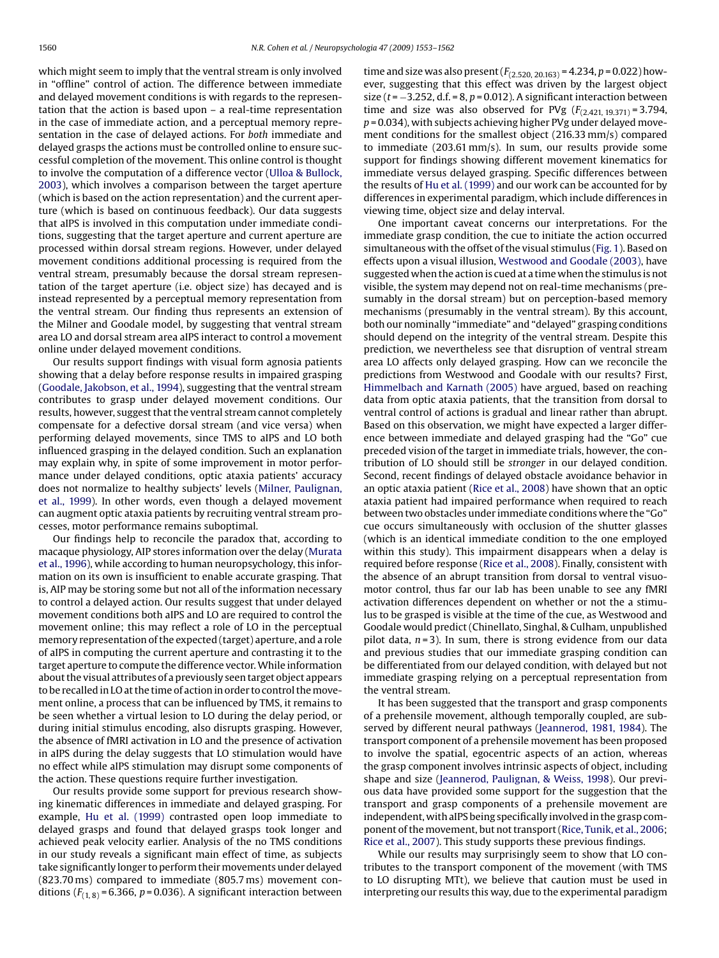which might seem to imply that the ventral stream is only involved in "offline" control of action. The difference between immediate and delayed movement conditions is with regards to the representation that the action is based upon – a real-time representation in the case of immediate action, and a perceptual memory representation in the case of delayed actions. For *both* immediate and delayed grasps the actions must be controlled online to ensure successful completion of the movement. This online control is thought to involve the computation of a difference vector [\(Ulloa & Bullock,](#page-9-0) [2003\),](#page-9-0) which involves a comparison between the target aperture (which is based on the action representation) and the current aperture (which is based on continuous feedback). Our data suggests that aIPS is involved in this computation under immediate conditions, suggesting that the target aperture and current aperture are processed within dorsal stream regions. However, under delayed movement conditions additional processing is required from the ventral stream, presumably because the dorsal stream representation of the target aperture (i.e. object size) has decayed and is instead represented by a perceptual memory representation from the ventral stream. Our finding thus represents an extension of the Milner and Goodale model, by suggesting that ventral stream area LO and dorsal stream area aIPS interact to control a movement online under delayed movement conditions.

Our results support findings with visual form agnosia patients showing that a delay before response results in impaired grasping ([Goodale, Jakobson, et al., 1994\),](#page-8-0) suggesting that the ventral stream contributes to grasp under delayed movement conditions. Our results, however, suggest that the ventral stream cannot completely compensate for a defective dorsal stream (and vice versa) when performing delayed movements, since TMS to aIPS and LO both influenced grasping in the delayed condition. Such an explanation may explain why, in spite of some improvement in motor performance under delayed conditions, optic ataxia patients' accuracy does not normalize to healthy subjects' levels [\(Milner, Paulignan,](#page-8-0) [et al., 1999\).](#page-8-0) In other words, even though a delayed movement can augment optic ataxia patients by recruiting ventral stream processes, motor performance remains suboptimal.

Our findings help to reconcile the paradox that, according to macaque physiology, AIP stores information over the delay ([Murata](#page-9-0) [et al., 1996\),](#page-9-0) while according to human neuropsychology, this information on its own is insufficient to enable accurate grasping. That is, AIP may be storing some but not all of the information necessary to control a delayed action. Our results suggest that under delayed movement conditions both aIPS and LO are required to control the movement online; this may reflect a role of LO in the perceptual memory representation of the expected (target) aperture, and a role of aIPS in computing the current aperture and contrasting it to the target aperture to compute the difference vector.While information about the visual attributes of a previously seen target object appears to be recalled in LO at the time of action in order to control themovement online, a process that can be influenced by TMS, it remains to be seen whether a virtual lesion to LO during the delay period, or during initial stimulus encoding, also disrupts grasping. However, the absence of fMRI activation in LO and the presence of activation in aIPS during the delay suggests that LO stimulation would have no effect while aIPS stimulation may disrupt some components of the action. These questions require further investigation.

Our results provide some support for previous research showing kinematic differences in immediate and delayed grasping. For example, [Hu et al. \(1999\)](#page-8-0) contrasted open loop immediate to delayed grasps and found that delayed grasps took longer and achieved peak velocity earlier. Analysis of the no TMS conditions in our study reveals a significant main effect of time, as subjects take significantly longer to perform their movements under delayed (823.70 ms) compared to immediate (805.7 ms) movement conditions  $(F_{(1, 8)} = 6.366, p = 0.036)$ . A significant interaction between time and size was also present  $(F_{(2.520, 20.163)} = 4.234, p = 0.022)$  however, suggesting that this effect was driven by the largest object size (*t* = −3.252, d.f. = 8, *p* = 0.012). A significant interaction between time and size was also observed for PVg  $(F_{(2.421, 19.371)} = 3.794$ , *p* = 0.034), with subjects achieving higher PVg under delayed movement conditions for the smallest object (216.33 mm/s) compared to immediate (203.61 mm/s). In sum, our results provide some support for findings showing different movement kinematics for immediate versus delayed grasping. Specific differences between the results of [Hu et al. \(1999\)](#page-8-0) and our work can be accounted for by differences in experimental paradigm, which include differences in viewing time, object size and delay interval.

One important caveat concerns our interpretations. For the immediate grasp condition, the cue to initiate the action occurred simultaneous with the offset of the visual stimulus ([Fig. 1\).](#page-3-0) Based on effects upon a visual illusion, [Westwood and Goodale \(2003\), h](#page-9-0)ave suggested when the action is cued at a time when the stimulus is not visible, the system may depend not on real-time mechanisms (presumably in the dorsal stream) but on perception-based memory mechanisms (presumably in the ventral stream). By this account, both our nominally "immediate" and "delayed" grasping conditions should depend on the integrity of the ventral stream. Despite this prediction, we nevertheless see that disruption of ventral stream area LO affects only delayed grasping. How can we reconcile the predictions from Westwood and Goodale with our results? First, [Himmelbach and Karnath \(2005\)](#page-8-0) have argued, based on reaching data from optic ataxia patients, that the transition from dorsal to ventral control of actions is gradual and linear rather than abrupt. Based on this observation, we might have expected a larger difference between immediate and delayed grasping had the "Go" cue preceded vision of the target in immediate trials, however, the contribution of LO should still be *stronger* in our delayed condition. Second, recent findings of delayed obstacle avoidance behavior in an optic ataxia patient ([Rice et al., 2008\)](#page-9-0) have shown that an optic ataxia patient had impaired performance when required to reach between two obstacles under immediate conditions where the "Go" cue occurs simultaneously with occlusion of the shutter glasses (which is an identical immediate condition to the one employed within this study). This impairment disappears when a delay is required before response ([Rice et al., 2008\).](#page-9-0) Finally, consistent with the absence of an abrupt transition from dorsal to ventral visuomotor control, thus far our lab has been unable to see any fMRI activation differences dependent on whether or not the a stimulus to be grasped is visible at the time of the cue, as Westwood and Goodale would predict (Chinellato, Singhal, & Culham, unpublished pilot data, *n* = 3). In sum, there is strong evidence from our data and previous studies that our immediate grasping condition can be differentiated from our delayed condition, with delayed but not immediate grasping relying on a perceptual representation from the ventral stream.

It has been suggested that the transport and grasp components of a prehensile movement, although temporally coupled, are subserved by different neural pathways ([Jeannerod, 1981, 1984\).](#page-8-0) The transport component of a prehensile movement has been proposed to involve the spatial, egocentric aspects of an action, whereas the grasp component involves intrinsic aspects of object, including shape and size [\(Jeannerod, Paulignan, & Weiss, 1998\).](#page-8-0) Our previous data have provided some support for the suggestion that the transport and grasp components of a prehensile movement are independent, with aIPS being specifically involved in the grasp component of the movement, but not transport [\(Rice, Tunik, et al., 2006;](#page-9-0) [Rice et al., 2007\).](#page-9-0) This study supports these previous findings.

While our results may surprisingly seem to show that LO contributes to the transport component of the movement (with TMS to LO disrupting MTt), we believe that caution must be used in interpreting our results this way, due to the experimental paradigm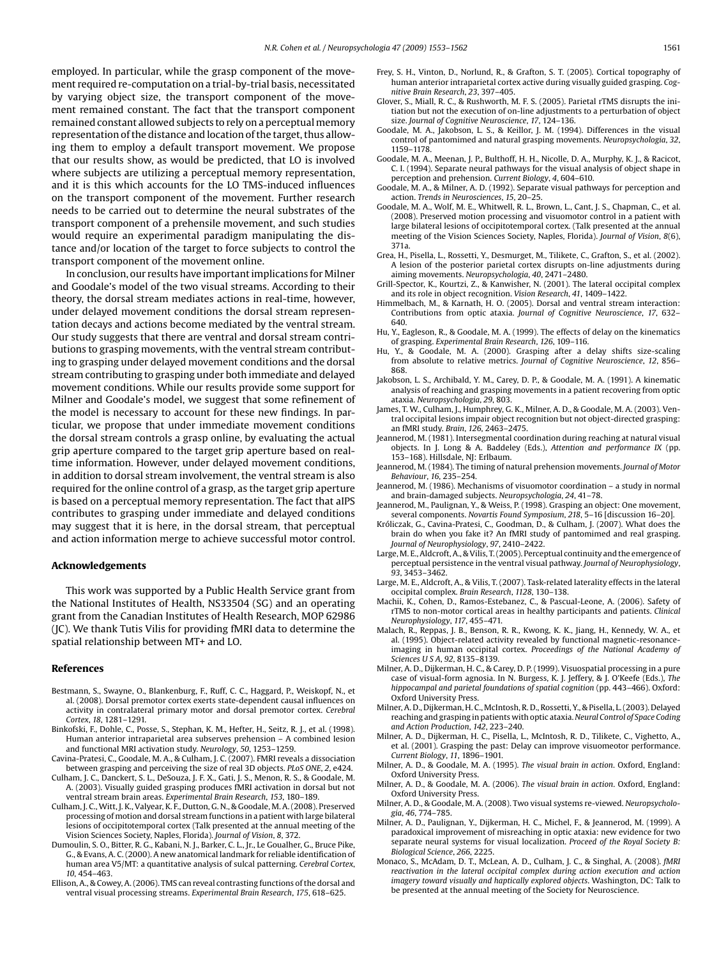<span id="page-8-0"></span>employed. In particular, while the grasp component of the movement required re-computation on a trial-by-trial basis, necessitated by varying object size, the transport component of the movement remained constant. The fact that the transport component remained constant allowed subjects to rely on a perceptual memory representation of the distance and location of the target, thus allowing them to employ a default transport movement. We propose that our results show, as would be predicted, that LO is involved where subjects are utilizing a perceptual memory representation, and it is this which accounts for the LO TMS-induced influences on the transport component of the movement. Further research needs to be carried out to determine the neural substrates of the transport component of a prehensile movement, and such studies would require an experimental paradigm manipulating the distance and/or location of the target to force subjects to control the transport component of the movement online.

In conclusion, our results have important implications for Milner and Goodale's model of the two visual streams. According to their theory, the dorsal stream mediates actions in real-time, however, under delayed movement conditions the dorsal stream representation decays and actions become mediated by the ventral stream. Our study suggests that there are ventral and dorsal stream contributions to grasping movements, with the ventral stream contributing to grasping under delayed movement conditions and the dorsal stream contributing to grasping under both immediate and delayed movement conditions. While our results provide some support for Milner and Goodale's model, we suggest that some refinement of the model is necessary to account for these new findings. In particular, we propose that under immediate movement conditions the dorsal stream controls a grasp online, by evaluating the actual grip aperture compared to the target grip aperture based on realtime information. However, under delayed movement conditions, in addition to dorsal stream involvement, the ventral stream is also required for the online control of a grasp, as the target grip aperture is based on a perceptual memory representation. The fact that aIPS contributes to grasping under immediate and delayed conditions may suggest that it is here, in the dorsal stream, that perceptual and action information merge to achieve successful motor control.

#### **Acknowledgements**

This work was supported by a Public Health Service grant from the National Institutes of Health, NS33504 (SG) and an operating grant from the Canadian Institutes of Health Research, MOP 62986 (JC). We thank Tutis Vilis for providing fMRI data to determine the spatial relationship between MT+ and LO.

#### **References**

- Bestmann, S., Swayne, O., Blankenburg, F., Ruff, C. C., Haggard, P., Weiskopf, N., et al. (2008). Dorsal premotor cortex exerts state-dependent causal influences on activity in contralateral primary motor and dorsal premotor cortex. *Cerebral Cortex*, *18*, 1281–1291.
- Binkofski, F., Dohle, C., Posse, S., Stephan, K. M., Hefter, H., Seitz, R. J., et al. (1998). Human anterior intraparietal area subserves prehension – A combined lesion and functional MRI activation study. *Neurology*, *50*, 1253–1259.
- Cavina-Pratesi, C., Goodale, M. A., & Culham, J. C. (2007). FMRI reveals a dissociation between grasping and perceiving the size of real 3D objects. *PLoS ONE*, *2*, e424.
- Culham, J. C., Danckert, S. L., DeSouza, J. F. X., Gati, J. S., Menon, R. S., & Goodale, M. A. (2003). Visually guided grasping produces fMRI activation in dorsal but not ventral stream brain areas. *Experimental Brain Research*, *153*, 180–189.
- Culham, J. C.,Witt, J. K., Valyear, K. F., Dutton, G. N., & Goodale, M. A. (2008). Preserved processing of motion and dorsal stream functions in a patient with large bilateral lesions of occipitotemporal cortex (Talk presented at the annual meeting of the Vision Sciences Society, Naples, Florida). *Journal of Vision*, *8*, 372.
- Dumoulin, S. O., Bitter, R. G., Kabani, N. J., Barker, C. L., Jr., Le Goualher, G., Bruce Pike, G., & Evans, A. C. (2000). A new anatomical landmark for reliable identification of human area V5/MT: a quantitative analysis of sulcal patterning. *Cerebral Cortex*, *10*, 454–463.
- Ellison, A., & Cowey, A. (2006). TMS can reveal contrasting functions of the dorsal and ventral visual processing streams. *Experimental Brain Research*, *175*, 618–625.
- Frey, S. H., Vinton, D., Norlund, R., & Grafton, S. T. (2005). Cortical topography of human anterior intraparietal cortex active during visually guided grasping. *Cognitive Brain Research*, *23*, 397–405.
- Glover, S., Miall, R. C., & Rushworth, M. F. S. (2005). Parietal rTMS disrupts the initiation but not the execution of on-line adjustments to a perturbation of object size. *Journal of Cognitive Neuroscience*, *17*, 124–136.
- Goodale, M. A., Jakobson, L. S., & Keillor, J. M. (1994). Differences in the visual control of pantomimed and natural grasping movements. *Neuropsychologia*, *32*, 1159–1178.
- Goodale, M. A., Meenan, J. P., Bulthoff, H. H., Nicolle, D. A., Murphy, K. J., & Racicot, C. I. (1994). Separate neural pathways for the visual analysis of object shape in perception and prehension. *Current Biology*, *4*, 604–610.
- Goodale, M. A., & Milner, A. D. (1992). Separate visual pathways for perception and action. *Trends in Neurosciences*, *15*, 20–25.
- Goodale, M. A., Wolf, M. E., Whitwell, R. L., Brown, L., Cant, J. S., Chapman, C., et al. (2008). Preserved motion processing and visuomotor control in a patient with large bilateral lesions of occipitotemporal cortex. (Talk presented at the annual meeting of the Vision Sciences Society, Naples, Florida). *Journal of Vision*, *8*(6), 371a.
- Grea, H., Pisella, L., Rossetti, Y., Desmurget, M., Tilikete, C., Grafton, S., et al. (2002). A lesion of the posterior parietal cortex disrupts on-line adjustments during aiming movements. *Neuropsychologia*, *40*, 2471–2480.
- Grill-Spector, K., Kourtzi, Z., & Kanwisher, N. (2001). The lateral occipital complex and its role in object recognition. *Vision Research*, *41*, 1409–1422.
- Himmelbach, M., & Karnath, H. O. (2005). Dorsal and ventral stream interaction: Contributions from optic ataxia. *Journal of Cognitive Neuroscience*, *17*, 632– 640.
- Hu, Y., Eagleson, R., & Goodale, M. A. (1999). The effects of delay on the kinematics of grasping. *Experimental Brain Research*, *126*, 109–116.
- Hu, Y., & Goodale, M. A. (2000). Grasping after a delay shifts size-scaling from absolute to relative metrics. *Journal of Cognitive Neuroscience*, *12*, 856– 868.
- Jakobson, L. S., Archibald, Y. M., Carey, D. P., & Goodale, M. A. (1991). A kinematic analysis of reaching and grasping movements in a patient recovering from optic ataxia. *Neuropsychologia*, *29*, 803.
- James, T. W., Culham, J., Humphrey, G. K., Milner, A. D., & Goodale, M. A. (2003). Ventral occipital lesions impair object recognition but not object-directed grasping: an fMRI study. *Brain*, *126*, 2463–2475.
- Jeannerod, M. (1981). Intersegmental coordination during reaching at natural visual objects. In J. Long & A. Baddeley (Eds.), *Attention and performance IX* (pp. 153–168). Hillsdale, NJ: Erlbaum.
- Jeannerod, M. (1984). The timing of natural prehension movements. *Journal of Motor Behaviour*, *16*, 235–254.
- Jeannerod, M. (1986). Mechanisms of visuomotor coordination–astudy in normal and brain-damaged subjects. *Neuropsychologia*, *24*, 41–78.
- Jeannerod, M., Paulignan, Y., & Weiss, P. (1998). Grasping an object: One movement, several components. *Novartis Found Symposium*, *218*, 5–16 [discussion 16–20].
- Króliczak, G., Cavina-Pratesi, C., Goodman, D., & Culham, J. (2007). What does the brain do when you fake it? An fMRI study of pantomimed and real grasping. *Journal of Neurophysiology*, *97*, 2410–2422.
- Large,M. E., Aldcroft, A., & Vilis, T. (2005). Perceptual continuity and the emergence of perceptual persistence in the ventral visual pathway. *Journal of Neurophysiology*, *93*, 3453–3462.
- Large, M. E., Aldcroft, A., & Vilis, T. (2007). Task-related laterality effects in the lateral occipital complex. *Brain Research*, *1128*, 130–138.
- Machii, K., Cohen, D., Ramos-Estebanez, C., & Pascual-Leone, A. (2006). Safety of rTMS to non-motor cortical areas in healthy participants and patients. *Clinical Neurophysiology*, *117*, 455–471.
- Malach, R., Reppas, J. B., Benson, R. R., Kwong, K. K., Jiang, H., Kennedy, W. A., et al. (1995). Object-related activity revealed by functional magnetic-resonanceimaging in human occipital cortex. *Proceedings of the National Academy of SciencesUSA*, *92*, 8135–8139.
- Milner, A. D., Dijkerman, H. C., & Carey, D. P. (1999). Visuospatial processing in a pure case of visual-form agnosia. In N. Burgess, K. J. Jeffery, & J. O'Keefe (Eds.), *The hippocampal and parietal foundations of spatial cognition* (pp. 443–466). Oxford: Oxford University Press.
- Milner, A. D., Dijkerman, H. C., McIntosh, R. D., Rossetti, Y., & Pisella, L. (2003). Delayed reaching and grasping in patients with optic ataxia. *Neural Control of Space Coding and Action Production*, *142*, 223–240.
- Milner, A. D., Dijkerman, H. C., Pisella, L., McIntosh, R. D., Tilikete, C., Vighetto, A., et al. (2001). Grasping the past: Delay can improve visuomeotor performance. *Current Biology*, *11*, 1896–1901.
- Milner, A. D., & Goodale, M. A. (1995). *The visual brain in action*. Oxford, England: Oxford University Press.
- Milner, A. D., & Goodale, M. A. (2006). *The visual brain in action*. Oxford, England: Oxford University Press.
- Milner, A. D., & Goodale, M. A. (2008). Two visual systems re-viewed. *Neuropsychologia*, *46*, 774–785.
- Milner, A. D., Paulignan, Y., Dijkerman, H. C., Michel, F., & Jeannerod, M. (1999). A paradoxical improvement of misreaching in optic ataxia: new evidence for two separate neural systems for visual localization. *Proceed of the Royal Society B: Biological Science*, *266*, 2225.
- Monaco, S., McAdam, D. T., McLean, A. D., Culham, J. C., & Singhal, A. (2008). *fMRI reactivation in the lateral occipital complex during action execution and action imagery toward visually and haptically explored objects*. Washington, DC: Talk to be presented at the annual meeting of the Society for Neuroscience.